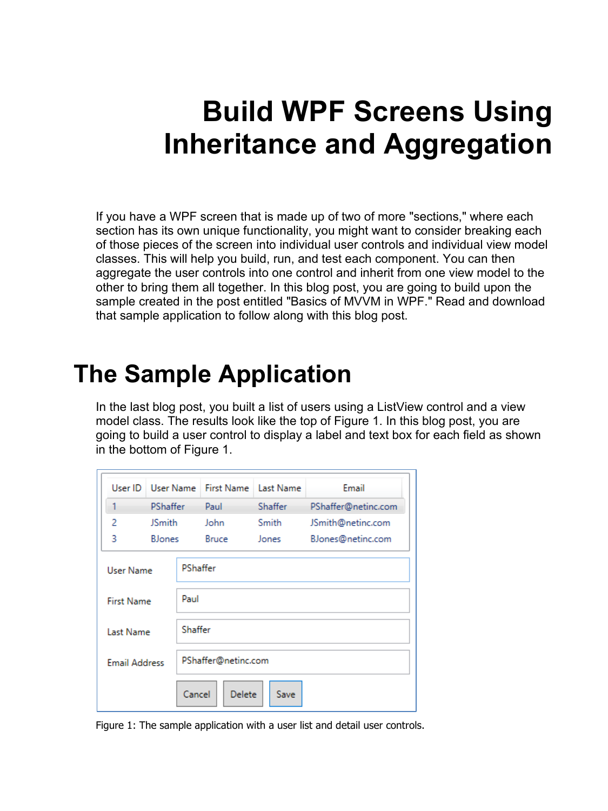# **Build WPF Screens Using Inheritance and Aggregation**

If you have a WPF screen that is made up of two of more "sections," where each section has its own unique functionality, you might want to consider breaking each of those pieces of the screen into individual user controls and individual view model classes. This will help you build, run, and test each component. You can then aggregate the user controls into one control and inherit from one view model to the other to bring them all together. In this blog post, you are going to build upon the sample created in the post entitled "Basics of MVVM in WPF." Read and download that sample application to follow along with this blog post.

# **The Sample Application**

In the last blog post, you built a list of users using a ListView control and a view model class. The results look like the top of [Figure 1.](#page-0-0) In this blog post, you are going to build a user control to display a label and text box for each field as shown in the bottom of [Figure 1.](#page-0-0)

| User ID                  | User Name       |         | <b>First Name</b>   | <b>Last Name</b> | Email               |  |  |
|--------------------------|-----------------|---------|---------------------|------------------|---------------------|--|--|
|                          | <b>PShaffer</b> |         | Paul                | Shaffer          | PShaffer@netinc.com |  |  |
| 2                        | <b>JSmith</b>   |         | John                | Smith            | JSmith@netinc.com   |  |  |
| 3                        | <b>B</b> Jones  |         | <b>Bruce</b>        | Jones            | BJones@netinc.com   |  |  |
| User Name                |                 |         | PShaffer            |                  |                     |  |  |
| <b>First Name</b>        |                 | Paul    |                     |                  |                     |  |  |
| Last Name                |                 | Shaffer |                     |                  |                     |  |  |
| <b>Email Address</b>     |                 |         | PShaffer@netinc.com |                  |                     |  |  |
| Cancel<br>Delete<br>Save |                 |         |                     |                  |                     |  |  |

<span id="page-0-0"></span>Figure 1: The sample application with a user list and detail user controls.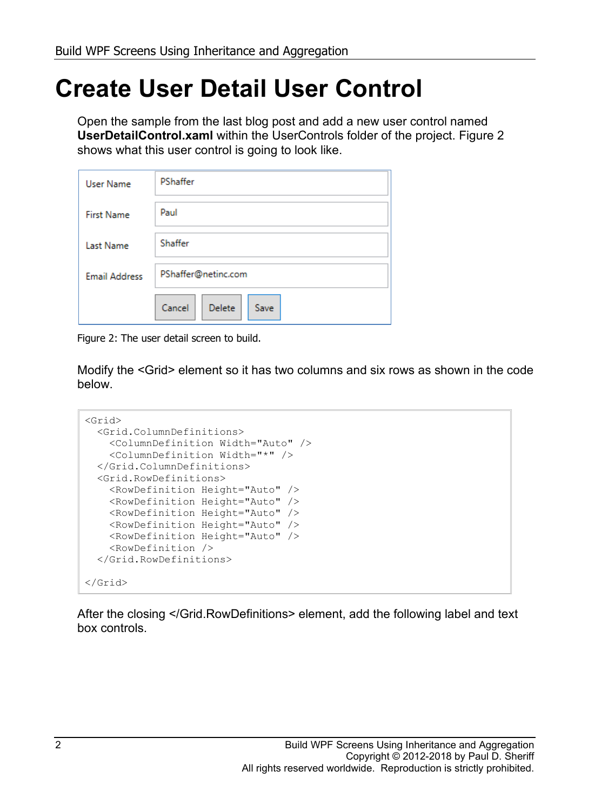### **Create User Detail User Control**

Open the sample from the last blog post and add a new user control named **UserDetailControl.xaml** within the UserControls folder of the project. [Figure 2](#page-1-0) shows what this user control is going to look like.

| <b>User Name</b>     | PShaffer                 |  |  |  |  |  |
|----------------------|--------------------------|--|--|--|--|--|
| <b>First Name</b>    | Paul                     |  |  |  |  |  |
| <b>Last Name</b>     | Shaffer                  |  |  |  |  |  |
| <b>Email Address</b> | PShaffer@netinc.com      |  |  |  |  |  |
|                      | Delete<br>Cancel<br>Save |  |  |  |  |  |

<span id="page-1-0"></span>Figure 2: The user detail screen to build.

Modify the <Grid> element so it has two columns and six rows as shown in the code below.

```
<Grid>
  <Grid.ColumnDefinitions>
    <ColumnDefinition Width="Auto" />
    <ColumnDefinition Width="*" />
  </Grid.ColumnDefinitions>
   <Grid.RowDefinitions>
    <RowDefinition Height="Auto" />
    <RowDefinition Height="Auto" />
    <RowDefinition Height="Auto" />
    <RowDefinition Height="Auto" />
    <RowDefinition Height="Auto" />
    <RowDefinition />
  </Grid.RowDefinitions>
</Grid>
```
After the closing </Grid.RowDefinitions> element, add the following label and text box controls.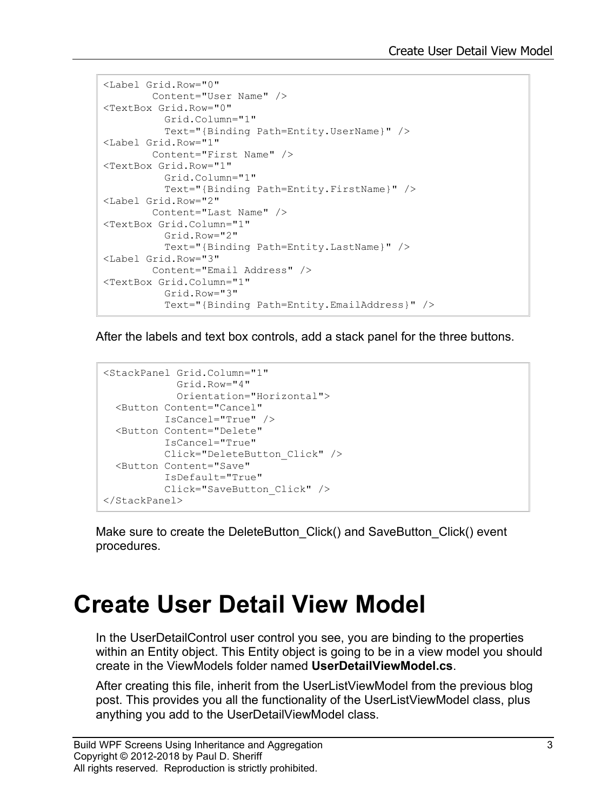```
<Label Grid.Row="0"
       Content="User Name" />
<TextBox Grid.Row="0"
          Grid.Column="1"
          Text="{Binding Path=Entity.UserName}" />
<Label Grid.Row="1"
       Content="First Name" />
<TextBox Grid.Row="1"
          Grid.Column="1"
          Text="{Binding Path=Entity.FirstName}" />
<Label Grid.Row="2"
       Content="Last Name" />
<TextBox Grid.Column="1"
          Grid.Row="2"
          Text="{Binding Path=Entity.LastName}" />
<Label Grid.Row="3"
       Content="Email Address" />
<TextBox Grid.Column="1"
          Grid.Row="3"
          Text="{Binding Path=Entity.EmailAddress}" />
```
After the labels and text box controls, add a stack panel for the three buttons.

```
<StackPanel Grid.Column="1"
             Grid.Row="4"
            Orientation="Horizontal">
  <Button Content="Cancel"
          IsCancel="True" />
  <Button Content="Delete"
          IsCancel="True"
          Click="DeleteButton_Click" />
  <Button Content="Save"
          IsDefault="True"
          Click="SaveButton_Click" />
</StackPanel>
```
Make sure to create the DeleteButton Click() and SaveButton Click() event procedures.

### **Create User Detail View Model**

In the UserDetailControl user control you see, you are binding to the properties within an Entity object. This Entity object is going to be in a view model you should create in the ViewModels folder named **UserDetailViewModel.cs**.

After creating this file, inherit from the UserListViewModel from the previous blog post. This provides you all the functionality of the UserListViewModel class, plus anything you add to the UserDetailViewModel class.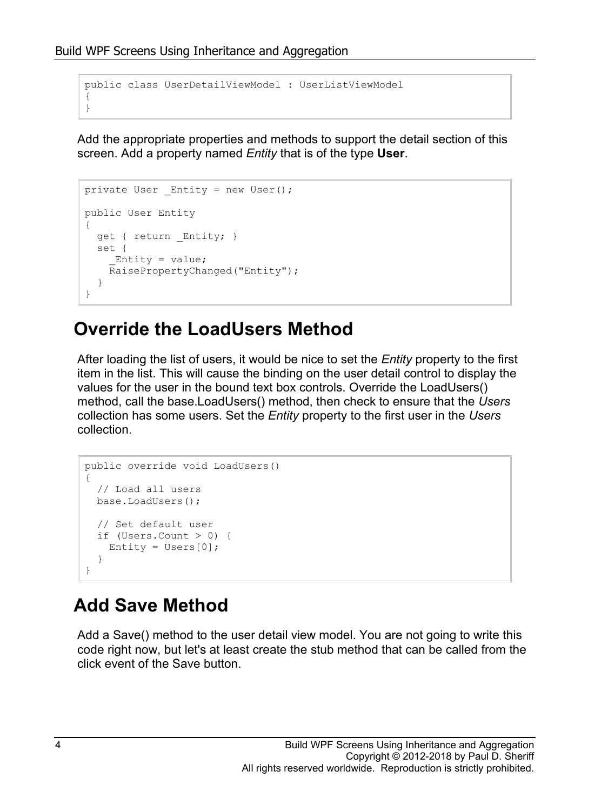```
public class UserDetailViewModel : UserListViewModel
{
}
```
Add the appropriate properties and methods to support the detail section of this screen. Add a property named *Entity* that is of the type **User**.

```
private User Entity = new User();
public User Entity
{
   get { return _Entity; }
   set {
     Entity = value;
     RaisePropertyChanged("Entity");
   }
}
```
#### **Override the LoadUsers Method**

After loading the list of users, it would be nice to set the *Entity* property to the first item in the list. This will cause the binding on the user detail control to display the values for the user in the bound text box controls. Override the LoadUsers() method, call the base.LoadUsers() method, then check to ensure that the *Users* collection has some users. Set the *Entity* property to the first user in the *Users* collection.

```
public override void LoadUsers()
{
   // Load all users
  base.LoadUsers();
   // Set default user
   if (Users.Count > 0) {
    Entity = Users[0];
   }
}
```
### **Add Save Method**

Add a Save() method to the user detail view model. You are not going to write this code right now, but let's at least create the stub method that can be called from the click event of the Save button.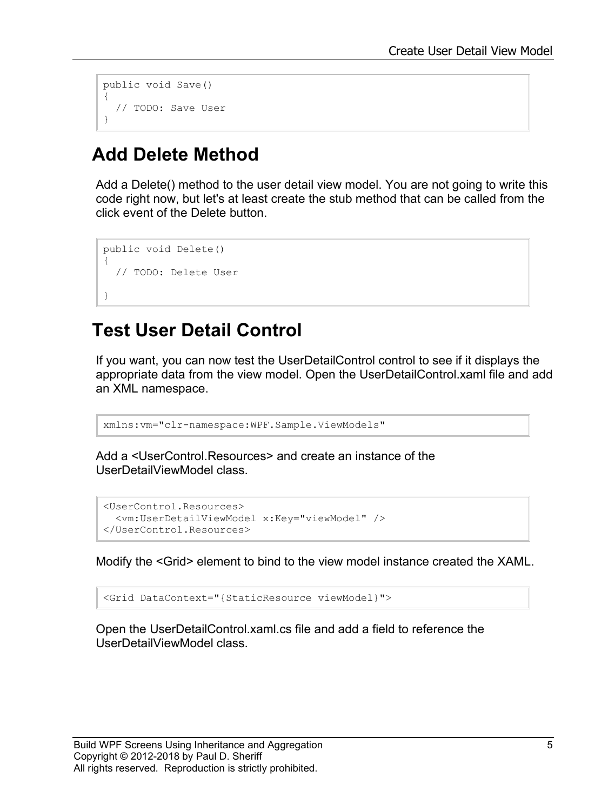```
public void Save()
{
   // TODO: Save User
}
```
#### **Add Delete Method**

Add a Delete() method to the user detail view model. You are not going to write this code right now, but let's at least create the stub method that can be called from the click event of the Delete button.

```
public void Delete()
{
   // TODO: Delete User
}
```
#### **Test User Detail Control**

If you want, you can now test the UserDetailControl control to see if it displays the appropriate data from the view model. Open the UserDetailControl.xaml file and add an XML namespace.

xmlns:vm="clr-namespace:WPF.Sample.ViewModels"

Add a <UserControl.Resources> and create an instance of the UserDetailViewModel class.

```
<UserControl.Resources>
 <vm:UserDetailViewModel x:Key="viewModel" />
</UserControl.Resources>
```
Modify the <Grid> element to bind to the view model instance created the XAML.

<Grid DataContext="{StaticResource viewModel}">

Open the UserDetailControl.xaml.cs file and add a field to reference the UserDetailViewModel class.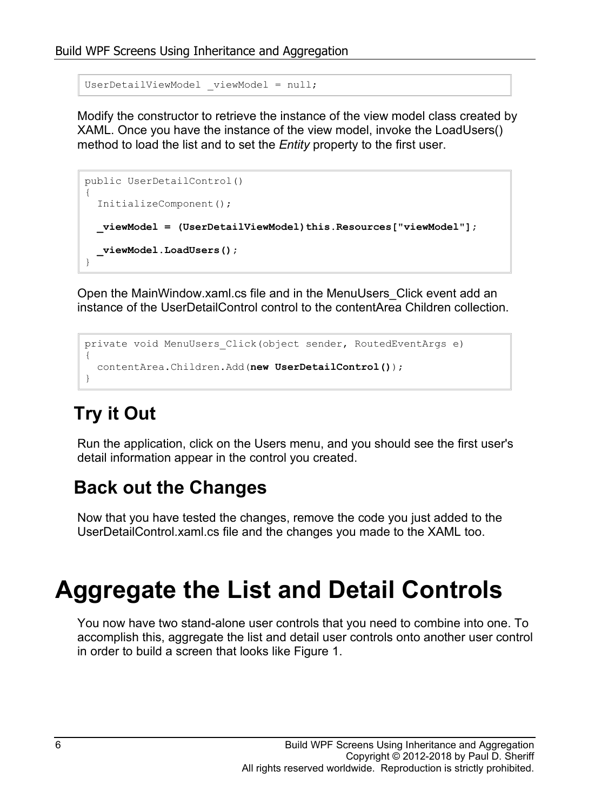UserDetailViewModel viewModel = null;

Modify the constructor to retrieve the instance of the view model class created by XAML. Once you have the instance of the view model, invoke the LoadUsers() method to load the list and to set the *Entity* property to the first user.

```
public UserDetailControl()
{
   InitializeComponent();
   _viewModel = (UserDetailViewModel)this.Resources["viewModel"];
   _viewModel.LoadUsers();
}
```
Open the MainWindow.xaml.cs file and in the MenuUsers\_Click event add an instance of the UserDetailControl control to the contentArea Children collection.

```
private void MenuUsers_Click(object sender, RoutedEventArgs e)
{
   contentArea.Children.Add(new UserDetailControl());
}
```
### **Try it Out**

Run the application, click on the Users menu, and you should see the first user's detail information appear in the control you created.

#### **Back out the Changes**

Now that you have tested the changes, remove the code you just added to the UserDetailControl.xaml.cs file and the changes you made to the XAML too.

# **Aggregate the List and Detail Controls**

You now have two stand-alone user controls that you need to combine into one. To accomplish this, aggregate the list and detail user controls onto another user control in order to build a screen that looks like Figure 1.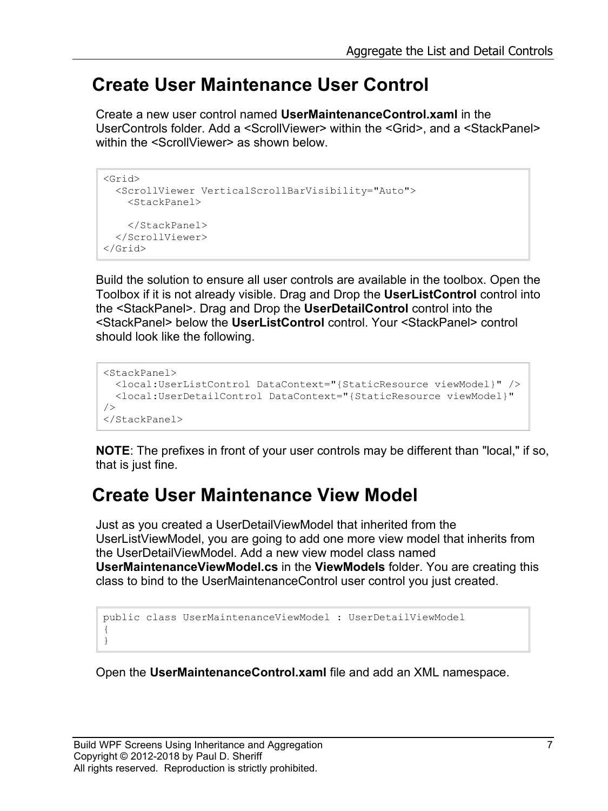#### **Create User Maintenance User Control**

Create a new user control named **UserMaintenanceControl.xaml** in the UserControls folder. Add a <ScrollViewer> within the <Grid>, and a <StackPanel> within the <ScrollViewer> as shown below

```
<Grid>
   <ScrollViewer VerticalScrollBarVisibility="Auto">
     <StackPanel>
     </StackPanel>
   </ScrollViewer>
</Grid>
```
Build the solution to ensure all user controls are available in the toolbox. Open the Toolbox if it is not already visible. Drag and Drop the **UserListControl** control into the <StackPanel>. Drag and Drop the **UserDetailControl** control into the <StackPanel> below the **UserListControl** control. Your <StackPanel> control should look like the following.

```
<StackPanel>
  <local:UserListControl DataContext="{StaticResource viewModel}" />
   <local:UserDetailControl DataContext="{StaticResource viewModel}" 
/>
</StackPanel>
```
**NOTE**: The prefixes in front of your user controls may be different than "local," if so, that is just fine.

#### **Create User Maintenance View Model**

Just as you created a UserDetailViewModel that inherited from the UserListViewModel, you are going to add one more view model that inherits from the UserDetailViewModel. Add a new view model class named **UserMaintenanceViewModel.cs** in the **ViewModels** folder. You are creating this class to bind to the UserMaintenanceControl user control you just created.

```
public class UserMaintenanceViewModel : UserDetailViewModel
{
}
```
Open the **UserMaintenanceControl.xaml** file and add an XML namespace.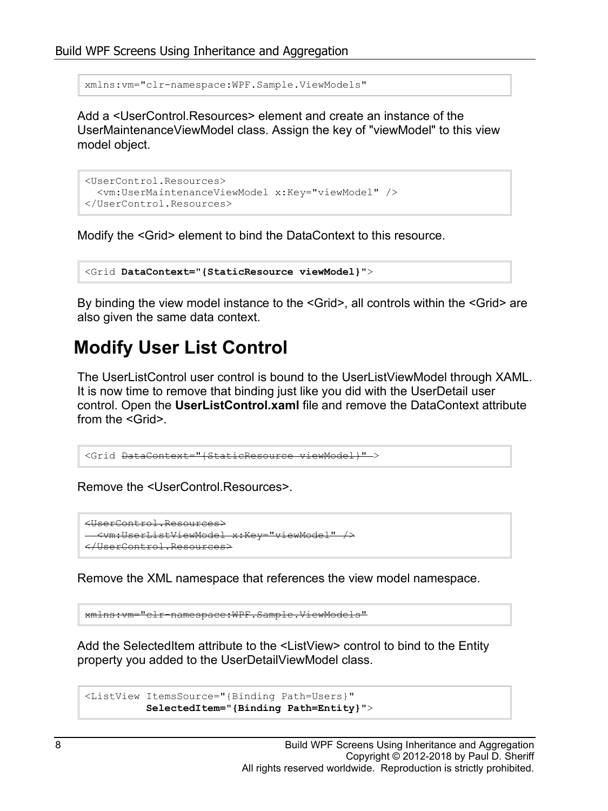xmlns:vm="clr-namespace:WPF.Sample.ViewModels"

Add a <UserControl.Resources> element and create an instance of the UserMaintenanceViewModel class. Assign the key of "viewModel" to this view model object.

```
<UserControl.Resources>
   <vm:UserMaintenanceViewModel x:Key="viewModel" />
</UserControl.Resources>
```
Modify the <Grid> element to bind the DataContext to this resource.

```
<Grid DataContext="{StaticResource viewModel}">
```
By binding the view model instance to the <Grid>, all controls within the <Grid> are also given the same data context.

#### **Modify User List Control**

The UserListControl user control is bound to the UserListViewModel through XAML. It is now time to remove that binding just like you did with the UserDetail user control. Open the **UserListControl.xaml** file and remove the DataContext attribute from the <Grid>.

```
<Grid DataContext="{StaticResource viewModel}" >
```
Remove the <UserControl.Resources>.

```
<UserControl.Resources>
   <vm:UserListViewModel x:Key="viewModel" />
</UserControl.Resources>
```
Remove the XML namespace that references the view model namespace.

xmlns:vm="clr-namespace:WPF.Sample.ViewModels"

Add the SelectedItem attribute to the <ListView> control to bind to the Entity property you added to the UserDetailViewModel class.

```
<ListView ItemsSource="{Binding Path=Users}"
           SelectedItem="{Binding Path=Entity}">
```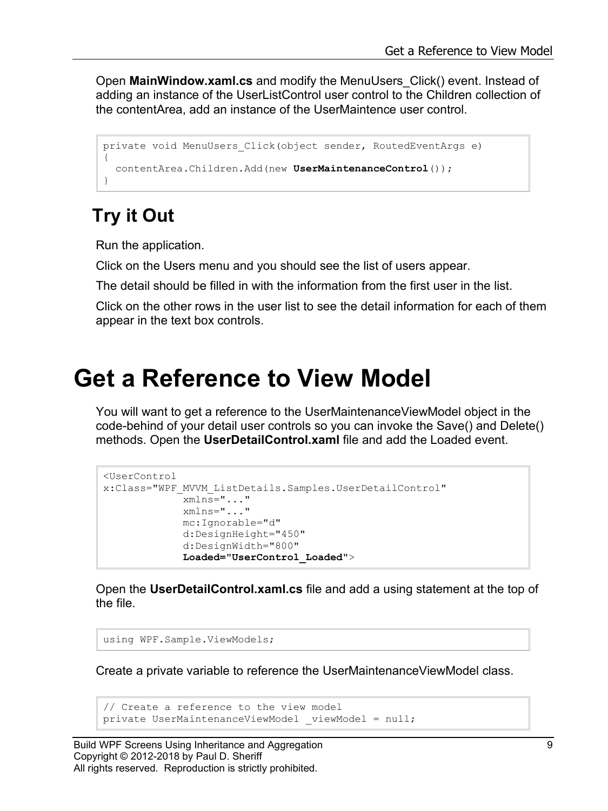Open **MainWindow.xaml.cs** and modify the MenuUsers\_Click() event. Instead of adding an instance of the UserListControl user control to the Children collection of the contentArea, add an instance of the UserMaintence user control.

```
private void MenuUsers_Click(object sender, RoutedEventArgs e)
{
   contentArea.Children.Add(new UserMaintenanceControl());
}
```
### **Try it Out**

Run the application.

Click on the Users menu and you should see the list of users appear.

The detail should be filled in with the information from the first user in the list.

Click on the other rows in the user list to see the detail information for each of them appear in the text box controls.

### **Get a Reference to View Model**

You will want to get a reference to the UserMaintenanceViewModel object in the code-behind of your detail user controls so you can invoke the Save() and Delete() methods. Open the **UserDetailControl.xaml** file and add the Loaded event.

```
<UserControl 
x:Class="WPF_MVVM_ListDetails.Samples.UserDetailControl"
              xmlns="..."
              xmlns="..."
              mc:Ignorable="d"
              d:DesignHeight="450"
              d:DesignWidth="800"
              Loaded="UserControl_Loaded">
```
Open the **UserDetailControl.xaml.cs** file and add a using statement at the top of the file.

using WPF.Sample.ViewModels;

Create a private variable to reference the UserMaintenanceViewModel class.

```
// Create a reference to the view model
private UserMaintenanceViewModel viewModel = null;
```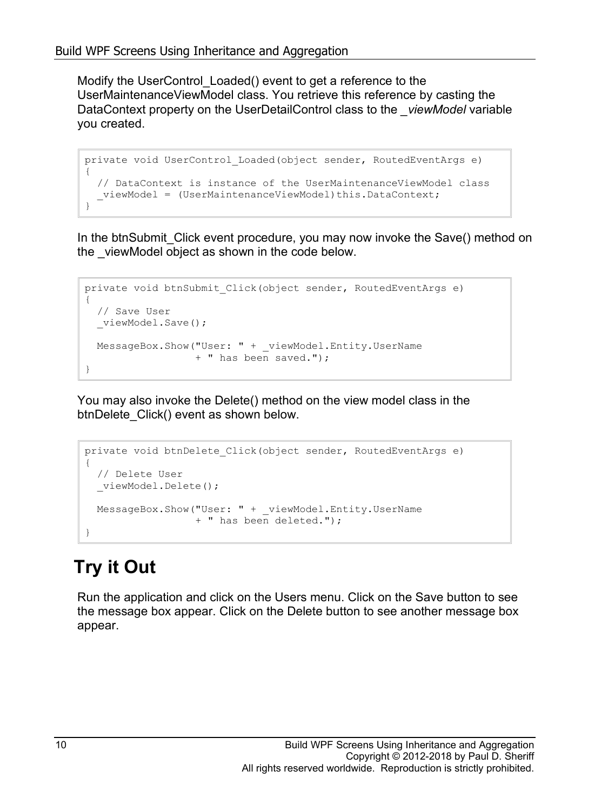Modify the UserControl\_Loaded() event to get a reference to the UserMaintenanceViewModel class. You retrieve this reference by casting the DataContext property on the UserDetailControl class to the *\_viewModel* variable you created.

```
private void UserControl_Loaded(object sender, RoutedEventArgs e)
{
   // DataContext is instance of the UserMaintenanceViewModel class
  viewModel = (UserMaintenanceViewModel)this.DataContext;
}
```
In the btnSubmit\_Click event procedure, you may now invoke the Save() method on the viewModel object as shown in the code below.

```
private void btnSubmit_Click(object sender, RoutedEventArgs e)
{
   // Save User
  viewModel.Save();
  MessageBox.Show("User: " + _viewModel.Entity.UserName 
                  + " has been saved.");
}
```
You may also invoke the Delete() method on the view model class in the btnDelete\_Click() event as shown below.

```
private void btnDelete_Click(object sender, RoutedEventArgs e)
{
   // Delete User
   _viewModel.Delete();
  MessageBox.Show("User: " + _viewModel.Entity.UserName
                   + " has been deleted.");
}
```
### **Try it Out**

Run the application and click on the Users menu. Click on the Save button to see the message box appear. Click on the Delete button to see another message box appear.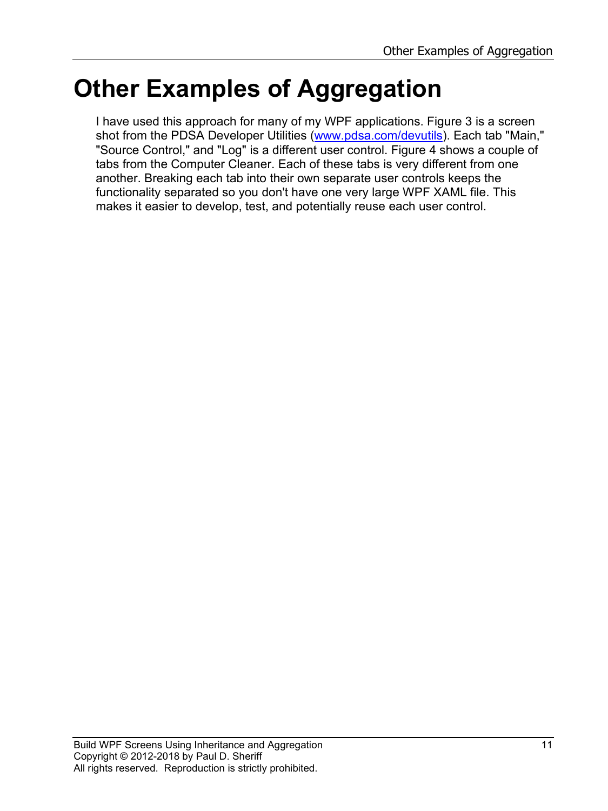# **Other Examples of Aggregation**

I have used this approach for many of my WPF applications. [Figure 3](#page-11-0) is a screen shot from the PDSA Developer Utilities [\(www.pdsa.com/devutils\)](http://www.pdsa.com/devutils). Each tab "Main," "Source Control," and "Log" is a different user control. [Figure 4](#page-12-0) shows a couple of tabs from the Computer Cleaner. Each of these tabs is very different from one another. Breaking each tab into their own separate user controls keeps the functionality separated so you don't have one very large WPF XAML file. This makes it easier to develop, test, and potentially reuse each user control.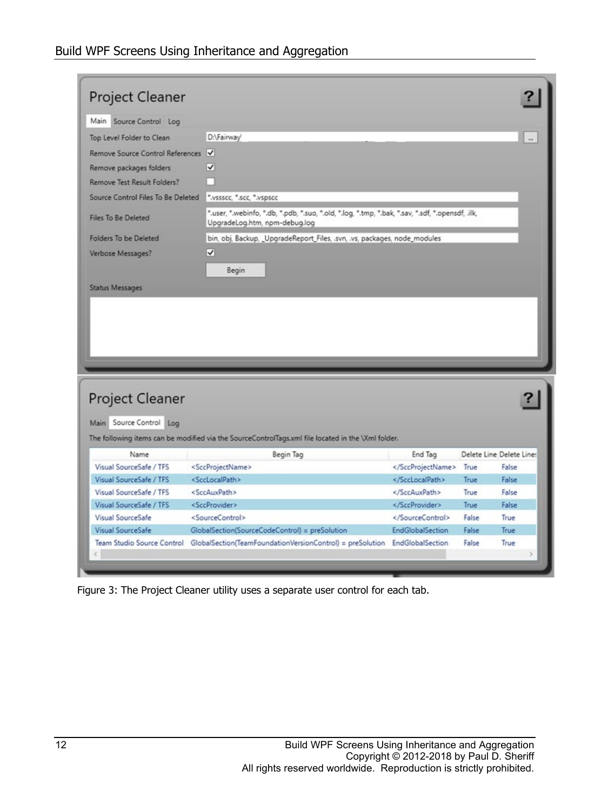| Project Cleaner                              |                                                                                                             |                                                                                                                                                                                |               |                          |  |  |  |
|----------------------------------------------|-------------------------------------------------------------------------------------------------------------|--------------------------------------------------------------------------------------------------------------------------------------------------------------------------------|---------------|--------------------------|--|--|--|
| Main<br>Source Control Log                   |                                                                                                             |                                                                                                                                                                                |               |                          |  |  |  |
| Top Level Folder to Clean                    | D:\Fairway                                                                                                  |                                                                                                                                                                                |               |                          |  |  |  |
| Remove Source Control References             |                                                                                                             |                                                                                                                                                                                |               |                          |  |  |  |
| Remove packages folders                      | √                                                                                                           |                                                                                                                                                                                |               |                          |  |  |  |
| Remove Test Result Folders?                  |                                                                                                             |                                                                                                                                                                                |               |                          |  |  |  |
| Source Control Files To Be Deleted           | ".vssscc, ".scc, ".vspscc                                                                                   |                                                                                                                                                                                |               |                          |  |  |  |
|                                              |                                                                                                             |                                                                                                                                                                                |               |                          |  |  |  |
| <b>Files To Be Deleted</b>                   | UpgradeLog.htm, npm-debug.log                                                                               | ".user, ".webinfo, ".db, ".pdb, ".suo, ".old, ".log, ".tmp, ".bak, ".sav, ".sdf, ".opensdf, .ilk,<br>bin, obj, Backup, _UpgradeReport_Files, .svn, .vs, packages, node_modules |               |                          |  |  |  |
| Folders To be Deleted                        |                                                                                                             |                                                                                                                                                                                |               |                          |  |  |  |
| Verbose Messages?                            | ↵                                                                                                           |                                                                                                                                                                                |               |                          |  |  |  |
|                                              | Begin                                                                                                       |                                                                                                                                                                                |               |                          |  |  |  |
| <b>Status Messages</b>                       |                                                                                                             |                                                                                                                                                                                |               |                          |  |  |  |
| Project Cleaner<br>Main Source Control Log   |                                                                                                             |                                                                                                                                                                                |               |                          |  |  |  |
|                                              | The following items can be modified via the SourceControlTags.xml file located in the \Xml folder.          |                                                                                                                                                                                |               |                          |  |  |  |
| Name                                         | Begin Tag                                                                                                   | End Tag                                                                                                                                                                        |               | Delete Line Delete Line: |  |  |  |
| Visual SourceSafe / TFS                      | <sccprojectname></sccprojectname>                                                                           |                                                                                                                                                                                | True          | False                    |  |  |  |
| Visual SourceSafe / TFS                      | <scclocalpath></scclocalpath>                                                                               |                                                                                                                                                                                | True          | False                    |  |  |  |
| Visual SourceSafe / TFS                      | <sccauxpath></sccauxpath>                                                                                   |                                                                                                                                                                                | True          | False                    |  |  |  |
| Visual SourceSafe / TFS<br>Visual SourceSafe | <sccprovider><br/><sourcecontrol></sourcecontrol></sccprovider>                                             | <br>                                                                                                                                                                           | True<br>False | False<br>True            |  |  |  |
| Visual SourceSafe                            |                                                                                                             | <b>EndGlobalSection</b>                                                                                                                                                        | False         | <b>True</b>              |  |  |  |
| Team Studio Source Control                   | GlobalSection(SourceCodeControl) = preSolution<br>GlobalSection(TeamFoundationVersionControl) = preSolution | EndGlobalSection                                                                                                                                                               | False         | True                     |  |  |  |

<span id="page-11-0"></span>Figure 3: The Project Cleaner utility uses a separate user control for each tab.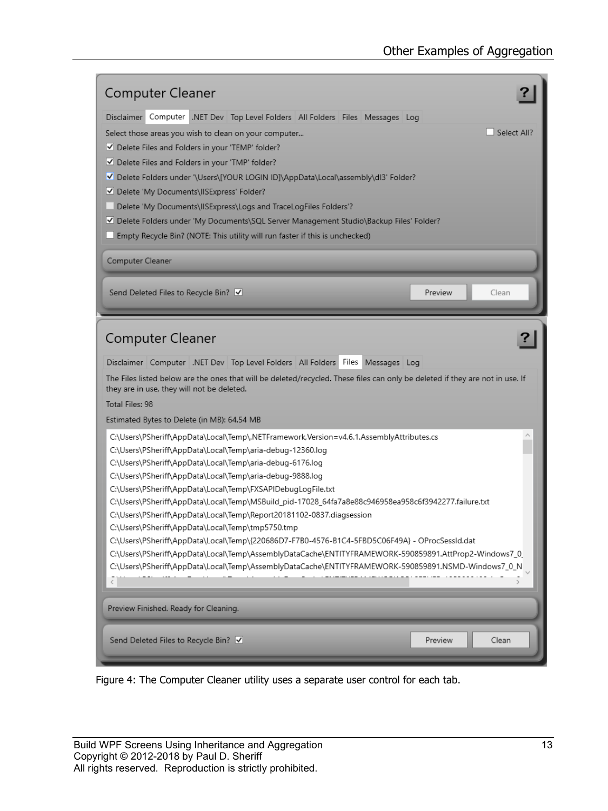| <b>Computer Cleaner</b>                                                                                                                                                                                                                                                                                                                                                                                                                                                                                                                                                                                                                                                                                                                                                                                                                                                                                  |             |
|----------------------------------------------------------------------------------------------------------------------------------------------------------------------------------------------------------------------------------------------------------------------------------------------------------------------------------------------------------------------------------------------------------------------------------------------------------------------------------------------------------------------------------------------------------------------------------------------------------------------------------------------------------------------------------------------------------------------------------------------------------------------------------------------------------------------------------------------------------------------------------------------------------|-------------|
| Disclaimer Computer .NET Dev Top Level Folders All Folders Files Messages Log                                                                                                                                                                                                                                                                                                                                                                                                                                                                                                                                                                                                                                                                                                                                                                                                                            |             |
| Select those areas you wish to clean on your computer                                                                                                                                                                                                                                                                                                                                                                                                                                                                                                                                                                                                                                                                                                                                                                                                                                                    | Select All? |
| Delete Files and Folders in your 'TEMP' folder?                                                                                                                                                                                                                                                                                                                                                                                                                                                                                                                                                                                                                                                                                                                                                                                                                                                          |             |
| Delete Files and Folders in your 'TMP' folder?                                                                                                                                                                                                                                                                                                                                                                                                                                                                                                                                                                                                                                                                                                                                                                                                                                                           |             |
| V Delete Folders under '\Users\[YOUR LOGIN ID]\AppData\Local\assembly\dl3' Folder?                                                                                                                                                                                                                                                                                                                                                                                                                                                                                                                                                                                                                                                                                                                                                                                                                       |             |
| Delete 'My Documents\IISExpress' Folder?                                                                                                                                                                                                                                                                                                                                                                                                                                                                                                                                                                                                                                                                                                                                                                                                                                                                 |             |
| Delete 'My Documents\IISExpress\Logs and TraceLogFiles Folders'?                                                                                                                                                                                                                                                                                                                                                                                                                                                                                                                                                                                                                                                                                                                                                                                                                                         |             |
| V Delete Folders under 'My Documents\SQL Server Management Studio\Backup Files' Folder?                                                                                                                                                                                                                                                                                                                                                                                                                                                                                                                                                                                                                                                                                                                                                                                                                  |             |
| $\Box$ Empty Recycle Bin? (NOTE: This utility will run faster if this is unchecked)                                                                                                                                                                                                                                                                                                                                                                                                                                                                                                                                                                                                                                                                                                                                                                                                                      |             |
| <b>Computer Cleaner</b>                                                                                                                                                                                                                                                                                                                                                                                                                                                                                                                                                                                                                                                                                                                                                                                                                                                                                  |             |
| Send Deleted Files to Recycle Bin? √<br>Preview                                                                                                                                                                                                                                                                                                                                                                                                                                                                                                                                                                                                                                                                                                                                                                                                                                                          | Clean       |
| Disclaimer Computer .NET Dev Top Level Folders All Folders Files Messages Log<br>The Files listed below are the ones that will be deleted/recycled. These files can only be deleted if they are not in use. If<br>they are in use, they will not be deleted.<br>Total Files: 98<br>Estimated Bytes to Delete (in MB): 64.54 MB                                                                                                                                                                                                                                                                                                                                                                                                                                                                                                                                                                           |             |
| C:\Users\PSheriff\AppData\Local\Temp\.NETFramework.Version=v4.6.1.AssemblyAttributes.cs<br>C:\Users\PSheriff\AppData\Local\Temp\aria-debug-12360.log<br>C:\Users\PSheriff\AppData\Local\Temp\aria-debug-6176.log<br>C:\Users\PSheriff\AppData\Local\Temp\aria-debug-9888.log<br>C:\Users\PSheriff\AppData\Local\Temp\FXSAPIDebugLogFile.txt<br>C:\Users\PSheriff\AppData\Local\Temp\MSBuild_pid-17028_64fa7a8e88c946958ea958c6f3942277.failure.txt<br>C:\Users\PSheriff\AppData\Local\Temp\Report20181102-0837.diagsession<br>C:\Users\PSheriff\AppData\Local\Temp\tmp5750.tmp<br>C:\Users\PSheriff\AppData\Local\Temp\{220686D7-F7B0-4576-B1C4-5FBD5C06F49A}-OProcSessId.dat<br>C:\Users\PSheriff\AppData\Local\Temp\AssemblyDataCache\ENTITYFRAMEWORK-590859891.AttProp2-Windows7_0<br>C:\Users\PSheriff\AppData\Local\Temp\AssemblyDataCache\ENTITYFRAMEWORK-590859891.NSMD-Windows7_0_N<br>$\hat{<}$ |             |
| Preview Finished. Ready for Cleaning.                                                                                                                                                                                                                                                                                                                                                                                                                                                                                                                                                                                                                                                                                                                                                                                                                                                                    |             |
| Send Deleted Files to Recycle Bin? V<br>Preview                                                                                                                                                                                                                                                                                                                                                                                                                                                                                                                                                                                                                                                                                                                                                                                                                                                          | Clean       |

<span id="page-12-0"></span>Figure 4: The Computer Cleaner utility uses a separate user control for each tab.